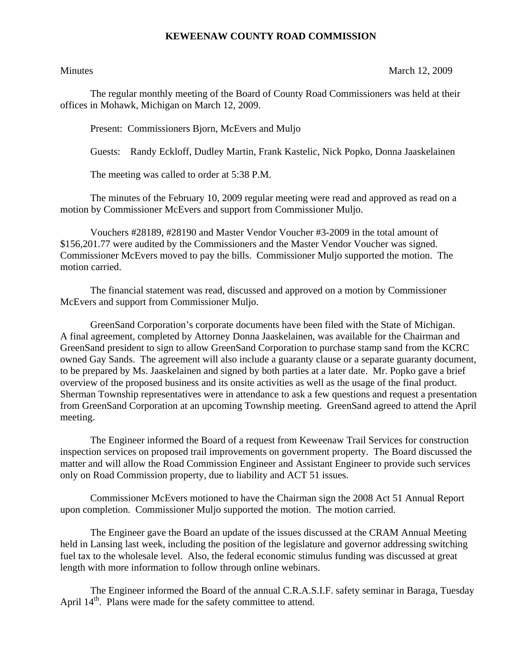## **KEWEENAW COUNTY ROAD COMMISSION**

Minutes March 12, 2009

The regular monthly meeting of the Board of County Road Commissioners was held at their offices in Mohawk, Michigan on March 12, 2009.

Present: Commissioners Bjorn, McEvers and Muljo

Guests: Randy Eckloff, Dudley Martin, Frank Kastelic, Nick Popko, Donna Jaaskelainen

The meeting was called to order at 5:38 P.M.

 The minutes of the February 10, 2009 regular meeting were read and approved as read on a motion by Commissioner McEvers and support from Commissioner Muljo.

 Vouchers #28189, #28190 and Master Vendor Voucher #3-2009 in the total amount of \$156,201.77 were audited by the Commissioners and the Master Vendor Voucher was signed. Commissioner McEvers moved to pay the bills. Commissioner Muljo supported the motion. The motion carried.

 The financial statement was read, discussed and approved on a motion by Commissioner McEvers and support from Commissioner Muljo.

 GreenSand Corporation's corporate documents have been filed with the State of Michigan. A final agreement, completed by Attorney Donna Jaaskelainen, was available for the Chairman and GreenSand president to sign to allow GreenSand Corporation to purchase stamp sand from the KCRC owned Gay Sands. The agreement will also include a guaranty clause or a separate guaranty document, to be prepared by Ms. Jaaskelainen and signed by both parties at a later date. Mr. Popko gave a brief overview of the proposed business and its onsite activities as well as the usage of the final product. Sherman Township representatives were in attendance to ask a few questions and request a presentation from GreenSand Corporation at an upcoming Township meeting. GreenSand agreed to attend the April meeting.

 The Engineer informed the Board of a request from Keweenaw Trail Services for construction inspection services on proposed trail improvements on government property. The Board discussed the matter and will allow the Road Commission Engineer and Assistant Engineer to provide such services only on Road Commission property, due to liability and ACT 51 issues.

 Commissioner McEvers motioned to have the Chairman sign the 2008 Act 51 Annual Report upon completion. Commissioner Muljo supported the motion. The motion carried.

 The Engineer gave the Board an update of the issues discussed at the CRAM Annual Meeting held in Lansing last week, including the position of the legislature and governor addressing switching fuel tax to the wholesale level. Also, the federal economic stimulus funding was discussed at great length with more information to follow through online webinars.

 The Engineer informed the Board of the annual C.R.A.S.I.F. safety seminar in Baraga, Tuesday April 14<sup>th</sup>. Plans were made for the safety committee to attend.